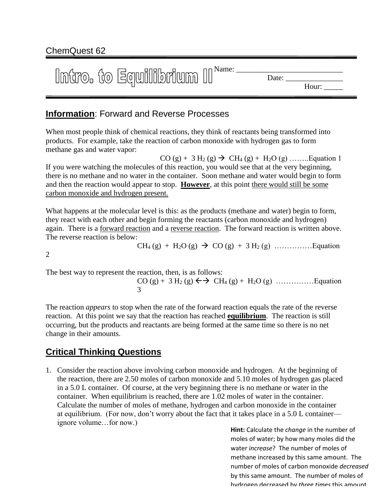# ChemQuest 62

| Intro. to Equilibrium II <sup>Name:</sup> | Date: |
|-------------------------------------------|-------|
|                                           | Hour: |

## **Information**: Forward and Reverse Processes

When most people think of chemical reactions, they think of reactants being transformed into products. For example, take the reaction of carbon monoxide with hydrogen gas to form methane gas and water vapor:

 $CO (g) + 3 H_2 (g) \rightarrow CH_4 (g) + H_2O (g)$  .......... Equation 1 If you were watching the molecules of this reaction, you would see that at the very beginning, there is no methane and no water in the container. Soon methane and water would begin to form and then the reaction would appear to stop. **However**, at this point there would still be some carbon monoxide and hydrogen present.

What happens at the molecular level is this: as the products (methane and water) begin to form, they react with each other and begin forming the reactants (carbon monoxide and hydrogen) again. There is a forward reaction and a reverse reaction. The forward reaction is written above. The reverse reaction is below:

CH<sup>4</sup> (g) + H2O (g) CO (g) + 3 H<sup>2</sup> (g) ……………Equation

2

The best way to represent the reaction, then, is as follows:

CO (g) + 3 H<sup>2</sup> (g) CH<sup>4</sup> (g) + H2O (g) ……………Equation 3

The reaction *appears* to stop when the rate of the forward reaction equals the rate of the reverse reaction. At this point we say that the reaction has reached **equilibrium**. The reaction is still occurring, but the products and reactants are being formed at the same time so there is no net change in their amounts.

# **Critical Thinking Questions**

1. Consider the reaction above involving carbon monoxide and hydrogen. At the beginning of the reaction, there are 2.50 moles of carbon monoxide and 5.10 moles of hydrogen gas placed in a 5.0 L container. Of course, at the very beginning there is no methane or water in the container. When equilibrium is reached, there are 1.02 moles of water in the container. Calculate the number of moles of methane, hydrogen and carbon monoxide in the container at equilibrium. (For now, don't worry about the fact that it takes place in a 5.0 L container ignore volume…for now.)

**Hint:** Calculate the *change* in the number of moles of water; by how many moles did the water *increase*? The number of moles of methane increased by this same amount. The number of moles of carbon monoxide *decreased* by this same amount. The number of moles of hydrogen decreased by *three times* this amount.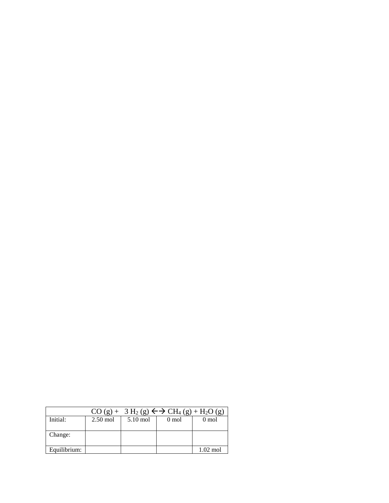|              |            |            | $CO(g) + 3 H_2(g) \leftrightarrow CH_4(g) + H_2O(g)$ |                    |
|--------------|------------|------------|------------------------------------------------------|--------------------|
| Initial:     | $2.50$ mol | $5.10$ mol | $0 \text{ mol}$                                      | $0 \text{ mol}$    |
|              |            |            |                                                      |                    |
| Change:      |            |            |                                                      |                    |
|              |            |            |                                                      |                    |
| Equilibrium: |            |            |                                                      | $1.02 \text{ mol}$ |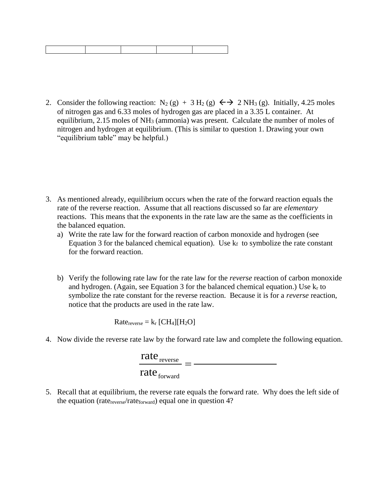2. Consider the following reaction:  $N_2(g) + 3 H_2(g) \leftrightarrow 2 NH_3(g)$ . Initially, 4.25 moles of nitrogen gas and 6.33 moles of hydrogen gas are placed in a 3.35 L container. At equilibrium, 2.15 moles of NH<sup>3</sup> (ammonia) was present. Calculate the number of moles of nitrogen and hydrogen at equilibrium. (This is similar to question 1. Drawing your own "equilibrium table" may be helpful.)

- 3. As mentioned already, equilibrium occurs when the rate of the forward reaction equals the rate of the reverse reaction. Assume that all reactions discussed so far are *elementary* reactions. This means that the exponents in the rate law are the same as the coefficients in the balanced equation.
	- a) Write the rate law for the forward reaction of carbon monoxide and hydrogen (see Equation 3 for the balanced chemical equation). Use  $k_f$  to symbolize the rate constant for the forward reaction.
	- b) Verify the following rate law for the rate law for the *reverse* reaction of carbon monoxide and hydrogen. (Again, see Equation 3 for the balanced chemical equation.) Use  $k_r$  to symbolize the rate constant for the reverse reaction. Because it is for a *reverse* reaction, notice that the products are used in the rate law.

 $Rate_{reverse} = k_r [CH_4][H_2O]$ 

4. Now divide the reverse rate law by the forward rate law and complete the following equation.

| rate $_{\text{reverse}}$ |  |
|--------------------------|--|
| rate $_{\text{forward}}$ |  |

5. Recall that at equilibrium, the reverse rate equals the forward rate. Why does the left side of the equation (rate<sub>reverse</sub>/rate<sub>forward</sub>) equal one in question 4?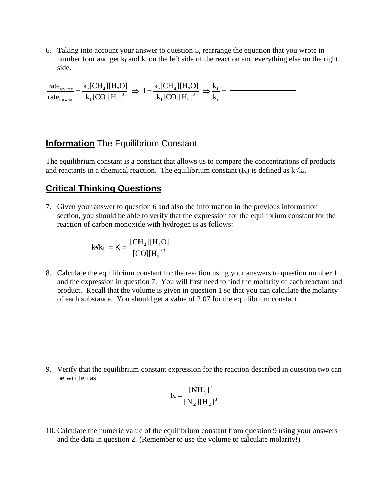6. Taking into account your answer to question 5, rearrange the equation that you wrote in number four and get  $k_f$  and  $k_r$  on the left side of the reaction and everything else on the right side.

 $=\frac{\kappa_r[\text{CI1}_4][\text{II2}]}}{1.5883533} \Rightarrow 1=\frac{\kappa_r[\text{CI1}_4][\text{II2}]}{1.58835533} \Rightarrow \frac{\kappa_f}{1.5883553}$ r f 3  $_{\rm f}$ [CO][11<sub>2</sub>  $r^{[U14] [II2]}$ 3  $_{\rm f}$ [CO][11<sub>2</sub>  $r^{[U14] [II2]}$ forward reverse k k  $k_f$ [CO][H<sub>2</sub>]  $1 = \frac{k_r [CH_4][H_2O]}{1.588 \times 10^3}$  $k_f$ [CO][H<sub>2</sub>]  $k_{r}$ [CH<sub>4</sub>][H<sub>2</sub>O] rate rate

#### **Information** The Equilibrium Constant

The equilibrium constant is a constant that allows us to compare the concentrations of products and reactants in a chemical reaction. The equilibrium constant  $(K)$  is defined as  $k_f/k_r$ .

#### **Critical Thinking Questions**

7. Given your answer to question 6 and also the information in the previous information section, you should be able to verify that the expression for the equilibrium constant for the reaction of carbon monoxide with hydrogen is as follows:

$$
k_t/k_r = K = \frac{[CH_4][H_2O]}{[CO][H_2]^3}
$$

8. Calculate the equilibrium constant for the reaction using your answers to question number 1 and the expression in question 7. You will first need to find the molarity of each reactant and product. Recall that the volume is given in question 1 so that you can calculate the molarity of each substance. You should get a value of 2.07 for the equilibrium constant.

9. Verify that the equilibrium constant expression for the reaction described in question two can be written as

$$
K = \frac{[NH_3]^2}{[N_2][H_2]^3}
$$

10. Calculate the numeric value of the equilibrium constant from question 9 using your answers and the data in question 2. (Remember to use the volume to calculate molarity!)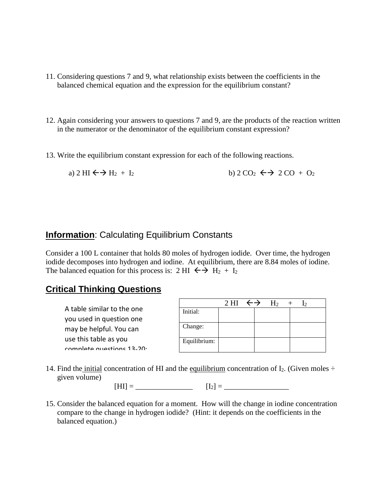- 11. Considering questions 7 and 9, what relationship exists between the coefficients in the balanced chemical equation and the expression for the equilibrium constant?
- 12. Again considering your answers to questions 7 and 9, are the products of the reaction written in the numerator or the denominator of the equilibrium constant expression?
- 13. Write the equilibrium constant expression for each of the following reactions.

a)  $2 \text{ HI} \leftarrow \rightarrow H_2 + I_2$  b)  $2 \text{ CO}_2 \leftarrow \rightarrow 2 \text{ CO} + \text{ O}_2$ 

### **Information:** Calculating Equilibrium Constants

Consider a 100 L container that holds 80 moles of hydrogen iodide. Over time, the hydrogen iodide decomposes into hydrogen and iodine. At equilibrium, there are 8.84 moles of iodine. The balanced equation for this process is: 2 HI  $\leftrightarrow$  H<sub>2</sub> + I<sub>2</sub>

### **Critical Thinking Questions**

A table similar to the one you used in question one may be helpful. You can use this table as you complete questions 12-20.

|              | 2 HI $\leftrightarrow$ | $H_2$ | $\sqrt{2}$ |
|--------------|------------------------|-------|------------|
| Initial:     |                        |       |            |
| Change:      |                        |       |            |
| Equilibrium: |                        |       |            |

14. Find the initial concentration of HI and the equilibrium concentration of  $I_2$ . (Given moles  $\div$ given volume)

 $[HI] =$   $[I_2] =$ 

15. Consider the balanced equation for a moment. How will the change in iodine concentration compare to the change in hydrogen iodide? (Hint: it depends on the coefficients in the balanced equation.)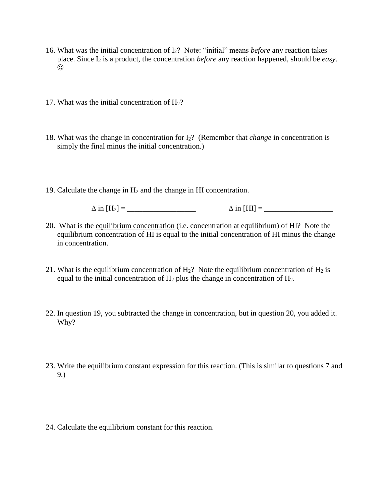- 16. What was the initial concentration of I2? Note: "initial" means *before* any reaction takes place. Since I<sup>2</sup> is a product, the concentration *before* any reaction happened, should be *easy*.  $\odot$
- 17. What was the initial concentration of  $H<sub>2</sub>$ ?
- 18. What was the change in concentration for I2? (Remember that *change* in concentration is simply the final minus the initial concentration.)
- 19. Calculate the change in H<sup>2</sup> and the change in HI concentration.

in [H2] = \_\_\_\_\_\_\_\_\_\_\_\_\_\_\_\_\_\_ in [HI] = \_\_\_\_\_\_\_\_\_\_\_\_\_\_\_\_\_\_

- 20. What is the equilibrium concentration (i.e. concentration at equilibrium) of HI? Note the equilibrium concentration of HI is equal to the initial concentration of HI minus the change in concentration.
- 21. What is the equilibrium concentration of  $H_2$ ? Note the equilibrium concentration of  $H_2$  is equal to the initial concentration of  $H_2$  plus the change in concentration of  $H_2$ .
- 22. In question 19, you subtracted the change in concentration, but in question 20, you added it. Why?
- 23. Write the equilibrium constant expression for this reaction. (This is similar to questions 7 and 9.)
- 24. Calculate the equilibrium constant for this reaction.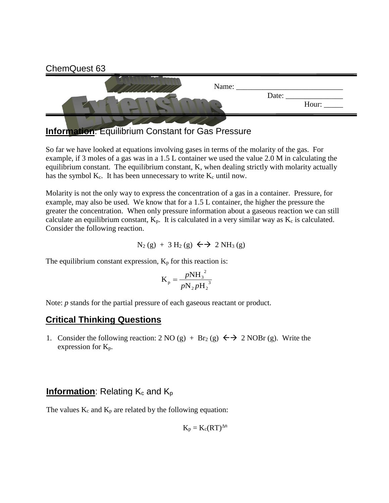

**Information**: Equilibrium Constant for Gas Pressure

So far we have looked at equations involving gases in terms of the molarity of the gas. For example, if 3 moles of a gas was in a 1.5 L container we used the value 2.0 M in calculating the equilibrium constant. The equilibrium constant, K, when dealing strictly with molarity actually has the symbol  $K_c$ . It has been unnecessary to write  $K_c$  until now.

Molarity is not the only way to express the concentration of a gas in a container. Pressure, for example, may also be used. We know that for a 1.5 L container, the higher the pressure the greater the concentration. When only pressure information about a gaseous reaction we can still calculate an equilibrium constant,  $K_p$ . It is calculated in a very similar way as  $K_c$  is calculated. Consider the following reaction.

$$
N_2(g) + 3 H_2(g) \leftrightarrow 2 NH_3(g)
$$

The equilibrium constant expression,  $K_p$  for this reaction is:

$$
K_{p} = \frac{pNH_{3}^{2}}{pN_{2}pH_{2}^{3}}
$$

Note: *p* stands for the partial pressure of each gaseous reactant or product.

### **Critical Thinking Questions**

1. Consider the following reaction:  $2 \text{ NO} (g) + \text{ Br}_2 (g) \leftrightarrow 2 \text{ NOBr} (g)$ . Write the expression for Kp.

#### **Information:** Relating  $K_c$  and  $K_p$

The values  $K_c$  and  $K_p$  are related by the following equation:

$$
K_p = K_c (RT)^{\Delta n}
$$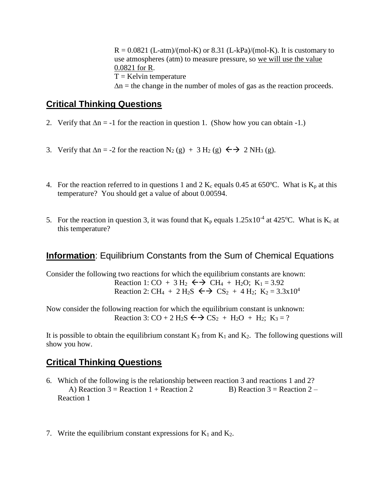$R = 0.0821$  (L-atm)/(mol-K) or 8.31 (L-kPa)/(mol-K). It is customary to use atmospheres (atm) to measure pressure, so we will use the value 0.0821 for R.  $T =$  Kelvin temperature  $\Delta n$  = the change in the number of moles of gas as the reaction proceeds.

## **Critical Thinking Questions**

- 2. Verify that  $\Delta n = -1$  for the reaction in question 1. (Show how you can obtain -1.)
- 3. Verify that  $\Delta n = -2$  for the reaction  $N_2(g) + 3 H_2(g) \leftrightarrow 2 NH_3(g)$ .
- 4. For the reaction referred to in questions 1 and 2  $K_c$  equals 0.45 at 650°C. What is  $K_p$  at this temperature? You should get a value of about 0.00594.
- 5. For the reaction in question 3, it was found that  $K_p$  equals 1.25x10<sup>-4</sup> at 425°C. What is  $K_c$  at this temperature?

### **Information**: Equilibrium Constants from the Sum of Chemical Equations

Consider the following two reactions for which the equilibrium constants are known: Reaction 1: CO + 3 H<sub>2</sub>  $\leftrightarrow$  CH<sub>4</sub> + H<sub>2</sub>O; K<sub>1</sub> = 3.92 Reaction 2: CH<sub>4</sub> + 2 H<sub>2</sub>S  $\leftrightarrow$  CS<sub>2</sub> + 4 H<sub>2</sub>; K<sub>2</sub> = 3.3x10<sup>4</sup>

Now consider the following reaction for which the equilibrium constant is unknown: Reaction 3:  $CO + 2 H_2S \leftrightarrow CS_2 + H_2O + H_2$ ;  $K_3 = ?$ 

It is possible to obtain the equilibrium constant  $K_3$  from  $K_1$  and  $K_2$ . The following questions will show you how.

### **Critical Thinking Questions**

- 6. Which of the following is the relationship between reaction 3 and reactions 1 and 2? A) Reaction  $3 =$  Reaction  $1 +$  Reaction  $2 -$  B) Reaction  $3 =$  Reaction  $2 -$ Reaction 1
- 7. Write the equilibrium constant expressions for  $K_1$  and  $K_2$ .